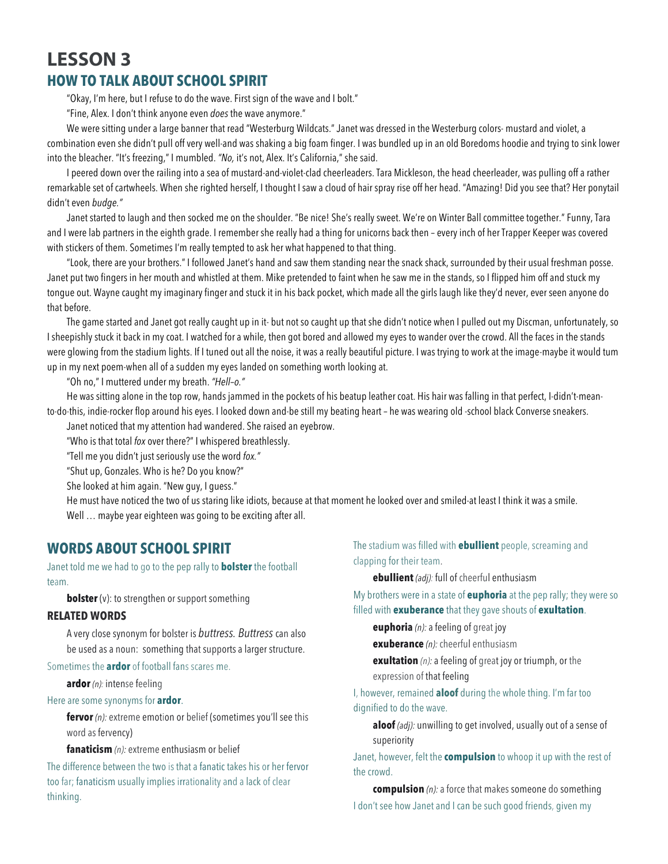# **LESSON 3 HOW TO TALK ABOUT SCHOOL SPIRIT**

"Okay, I'm here, but I refuse to do the wave. First sign of the wave and I bolt."

"Fine, Alex. I don't think anyone even *does* the wave anymore."

We were sitting under a large banner that read "Westerburg Wildcats." Janet was dressed in the Westerburg colors- mustard and violet, a combination even she didn't pull off very well-and was shaking a big foam finger. I was bundled up in an old Boredoms hoodie and trying to sink lower into the bleacher. "It's freezing," I mumbled. *"No,* it's not, Alex. It's California," she said.

I peered down over the railing into a sea of mustard-and-violet-clad cheerleaders. Tara Mickleson, the head cheerleader, was pulling off a rather remarkable set of cartwheels. When she righted herself, I thought I saw a cloud of hair spray rise off her head. "Amazing! Did you see that? Her ponytail didn't even *budge."*

Janet started to laugh and then socked me on the shoulder. "Be nice! She's really sweet. We're on Winter Ball committee together."Funny, Tara and I were lab partners in the eighth grade. I remember she really had a thing for unicorns back then – every inch of her Trapper Keeper was covered with stickers of them. Sometimes I'm really tempted to ask her what happened to that thing.

"Look, there are your brothers." I followed Janet's hand and saw them standing near the snack shack, surrounded by their usual freshman posse. Janet put two fingers in her mouth and whistled at them. Mike pretended to faint when he saw me in the stands, so I flipped him off and stuck my tongue out. Wayne caught my imaginary finger and stuck it in his back pocket, which made all the girls laugh like they'd never, ever seen anyone do that before.

The game started and Janet got really caught up in it- but not so caught up that she didn't notice when I pulled out my Discman, unfortunately, so I sheepishly stuck it back in my coat. I watched for a while, then got bored and allowed my eyes to wander over the crowd. All the faces in the stands were glowing from the stadium lights. If I tuned out all the noise, it was a really beautiful picture. I was trying to work at the image-maybe it would tum up in my next poem-when all of a sudden my eyes landed on something worth looking at.

"Oh no," I muttered under my breath. *"Hell–o."*

He was sitting alone in the top row, hands jammed in the pockets of his beatup leather coat. His hair was falling in that perfect, I-didn't-meanto·do·this, indie-rocker flop around his eyes. I looked down and-be still my beating heart – he was wearing old -school black Converse sneakers.

Janet noticed that my attention had wandered. She raised an eyebrow.

"Who is that total *fox* over there?" I whispered breathlessly.

"Tell me you didn't just seriously use the word *fox."*

"Shut up, Gonzales. Who is he? Do you know?"

She looked at him again. "New guy, I guess."

He must have noticed the two of us staring like idiots, because at that moment he looked over and smiled-at least I think it was a smile. Well ... maybe year eighteen was going to be exciting after all.

## **WORDS ABOUT SCHOOL SPIRIT**

Janet told me we had to go to the pep rally to **bolster** the football team.

**bolster** (v): to strengthen or support something

### **RELATED WORDS**

A very close synonym for bolster is *buttress. Buttress* can also be used as a noun: something that supports a larger structure.

Sometimes the **ardor** of football fans scares me.

**ardor** *(n):* intense feeling

#### Here are some synonyms for **ardor**.

**fervor** *(n):* extreme emotion or belief (sometimes you'll see this word as fervency)

### **fanaticism** *(n):* extreme enthusiasm or belief

The difference between the two is that a fanatic takes his or her fervor too far; fanaticism usually implies irrationality and a lack of clear thinking.

The stadium was filled with **ebullient** people, screaming and clapping for their team.

**ebullient** *(adj):* full of cheerful enthusiasm

My brothers were in a state of **euphoria** at the pep rally; they were so filled with **exuberance** that they gave shouts of **exultation**.

**euphoria** *(n):* a feeling of great joy

**exuberance** *(n):* cheerful enthusiasm

**exultation** *(n):* a feeling of great joy or triumph, or the expression of that feeling

I, however, remained **aloof** during the whole thing. I'm far too dignified to do the wave.

**aloof** *(adj):* unwilling to get involved, usually out of a sense of superiority

Janet, however, felt the **compulsion** to whoop it up with the rest of the crowd.

**compulsion** *(n):* a force that makes someone do something I don't see how Janet and I can be such good friends, given my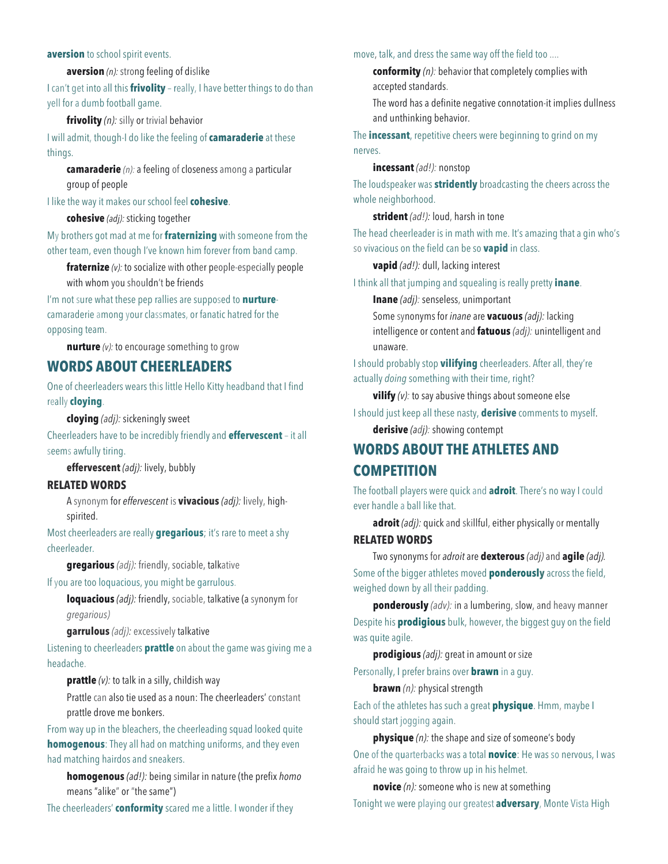### **aversion** to school spirit events.

**aversion** *(n):* strong feeling of dislike

I can't get into all this **frivolity** – really, I have better things to do than yell for a dumb football game.

**frivolity** *(n):* silly or trivial behavior

I will admit, though-I do like the feeling of **camaraderie** at these things.

**camaraderie** *(n):* a feeling of closeness among a particular group of people

I like the way it makes our school feel **cohesive**.

### **cohesive** *(adj):* sticking together

My brothers got mad at me for **fraternizing** with someone from the other team, even though I've known him forever from band camp.

**fraternize** *(v):* to socialize with other people-especially people with whom you shouldn't be friends

I'm not sure what these pep rallies are supposed to **nurture**camaraderie among your classmates, or fanatic hatred for the opposing team.

**nurture** *(v):* to encourage something to grow

## **WORDS ABOUT CHEERLEADERS**

One of cheerleaders wears this little Hello Kitty headband that I find really **cloying**.

**cloying** *(adj):* sickeningly sweet

Cheerleaders have to be incredibly friendly and **effervescent** – it all seems awfully tiring.

**effervescent** *(adj):* lively, bubbly

### **RELATED WORDS**

A synonym for *effervescent* is **vivacious** *(adj):* lively, highspirited.

Most cheerleaders are really **gregarious**; it's rare to meet a shy cheerleader.

**gregarious** *(adj):* friendly, sociable, talkative

### If you are too loquacious, you might be garrulous.

**loquacious** *(adj):* friendly, sociable, talkative (a synonym for *gregarious)*

**garrulous** *(adj):* excessively talkative

Listening to cheerleaders **prattle** on about the game was giving me a headache.

**prattle** (v): to talk in a silly, childish way

Prattle can also tie used as a noun: The cheerleaders' constant prattle drove me bonkers.

From way up in the bleachers, the cheerleading squad looked quite **homogenous**: They all had on matching uniforms, and they even had matching hairdos and sneakers.

**homogenous** *(ad!):* being similar in nature (the prefix *homo*  means "alike" or "the same")

The cheerleaders' **conformity** scared me a little. I wonder if they

move, talk, and dress the same way off the field too ....

**conformity** *(n):* behavior that completely complies with accepted standards.

The word has a definite negative connotation-it implies dullness and unthinking behavior.

The **incessant**, repetitive cheers were beginning to grind on my nerves.

#### **incessant** *(ad!):* nonstop

The loudspeaker was **stridently** broadcasting the cheers across the whole neighborhood.

**strident** *(ad!):* loud, harsh in tone

The head cheerleader is in math with me. It's amazing that a gin who's so vivacious on the field can be so **vapid** in class.

**vapid** *(ad!):* dull, lacking interest

I think all that jumping and squealing is really pretty **inane**.

**Inane** *(adj):* senseless, unimportant

Some synonyms for *inane* are **vacuous** *(adj):* lacking intelligence or content and **fatuous** *(adj):* unintelligent and unaware.

I should probably stop **vilifying** cheerleaders. After all, they're actually *doing* something with their time, right?

**vilify**  $(v)$ : to say abusive things about someone else

I should just keep all these nasty, **derisive** comments to myself.

**derisive** *(adj):* showing contempt

# **WORDS ABOUT THE ATHLETES AND COMPETITION**

The football players were quick and **adroit**. There's no way I could ever handle a ball like that.

**adroit** *(adj):* quick and skillful, either physically or mentally

**RELATED WORDS**

Two synonyms for *adroit* are **dexterous** *(adj)* and **agile** *(adj).* Some of the bigger athletes moved **ponderously** across the field, weighed down by all their padding.

**ponderously** *(adv):* in a lumbering, slow, and heavy manner Despite his **prodigious** bulk, however, the biggest guy on the field was quite agile.

**prodigious** *(adj):* great in amount or size

Personally, I prefer brains over **brawn** in a guy.

**brawn** *(n):* physical strength

Each of the athletes has such a great **physique**. Hmm, maybe I should start jogging again.

**physique** *(n):* the shape and size of someone's body One of the quarterbacks was a total **novice**: He was so nervous, I was afraid he was going to throw up in his helmet.

**novice** *(n):* someone who is new at something Tonight we were playing our greatest **adversary**, Monte Vista High